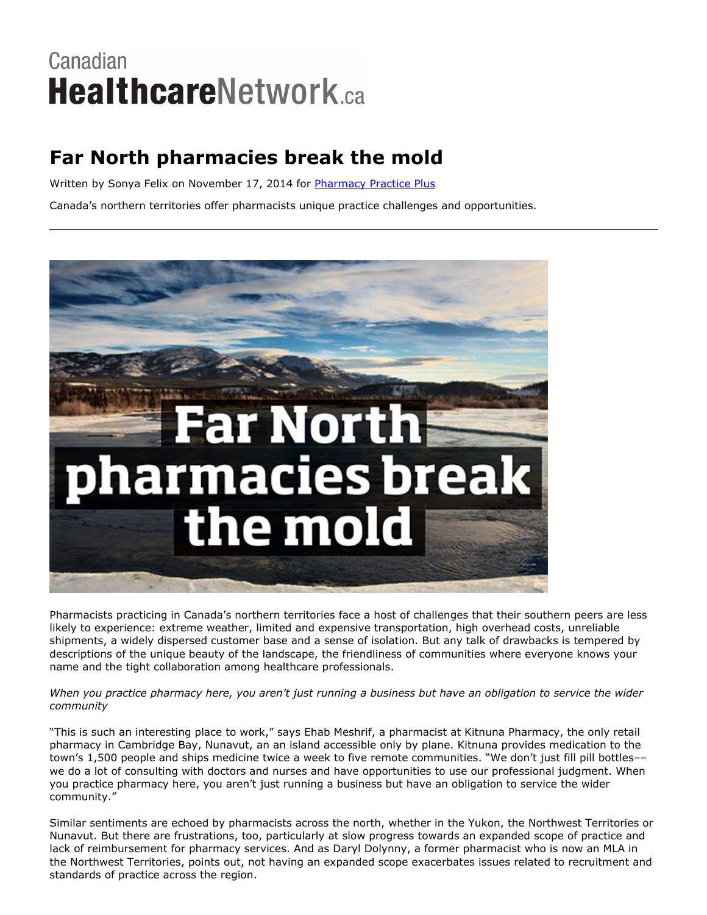# Canadian **HealthcareNetwork.ca**

## **Far North pharmacies break the mold**

Written by Sonya Felix on November 17, 2014 for [Pharmacy](http://www.canadianhealthcarenetwork.ca/pharmacists/magazines/pharmacy-practice-plus/) Practice Plus

Canada's northern territories offer pharmacists unique practice challenges and opportunities.



Pharmacists practicing in Canada's northern territories face a host of challenges that their southern peers are less likely to experience: extreme weather, limited and expensive transportation, high overhead costs, unreliable shipments, a widely dispersed customer base and a sense of isolation. But any talk of drawbacks is tempered by descriptions of the unique beauty of the landscape, the friendliness of communities where everyone knows your name and the tight collaboration among healthcare professionals.

#### When you practice pharmacy here, you aren't just running a business but have an obligation to service the wider *community*

"This is such an interesting place to work," says Ehab Meshrif, a pharmacist at Kitnuna Pharmacy, the only retail pharmacy in Cambridge Bay, Nunavut, an an island accessible only by plane. Kitnuna provides medication to the town's 1,500 people and ships medicine twice a week to five remote communities. "We don't just fill pill bottles–– we do a lot of consulting with doctors and nurses and have opportunities to use our professional judgment. When you practice pharmacy here, you aren't just running a business but have an obligation to service the wider community."

Similar sentiments are echoed by pharmacists across the north, whether in the Yukon, the Northwest Territories or Nunavut. But there are frustrations, too, particularly at slow progress towards an expanded scope of practice and lack of reimbursement for pharmacy services. And as Daryl Dolynny, a former pharmacist who is now an MLA in the Northwest Territories, points out, not having an expanded scope exacerbates issues related to recruitment and standards of practice across the region.